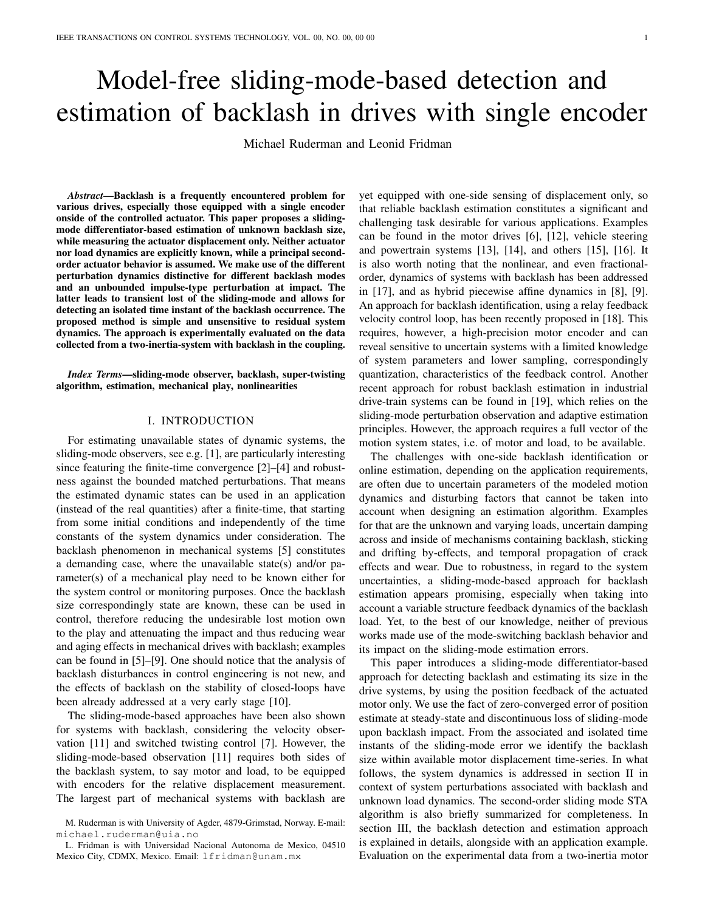# Model-free sliding-mode-based detection and estimation of backlash in drives with single encoder

Michael Ruderman and Leonid Fridman

*Abstract*—Backlash is a frequently encountered problem for various drives, especially those equipped with a single encoder onside of the controlled actuator. This paper proposes a slidingmode differentiator-based estimation of unknown backlash size, while measuring the actuator displacement only. Neither actuator nor load dynamics are explicitly known, while a principal secondorder actuator behavior is assumed. We make use of the different perturbation dynamics distinctive for different backlash modes and an unbounded impulse-type perturbation at impact. The latter leads to transient lost of the sliding-mode and allows for detecting an isolated time instant of the backlash occurrence. The proposed method is simple and unsensitive to residual system dynamics. The approach is experimentally evaluated on the data collected from a two-inertia-system with backlash in the coupling.

*Index Terms*—sliding-mode observer, backlash, super-twisting algorithm, estimation, mechanical play, nonlinearities

## I. INTRODUCTION

For estimating unavailable states of dynamic systems, the sliding-mode observers, see e.g. [1], are particularly interesting since featuring the finite-time convergence [2]–[4] and robustness against the bounded matched perturbations. That means the estimated dynamic states can be used in an application (instead of the real quantities) after a finite-time, that starting from some initial conditions and independently of the time constants of the system dynamics under consideration. The backlash phenomenon in mechanical systems [5] constitutes a demanding case, where the unavailable state(s) and/or parameter(s) of a mechanical play need to be known either for the system control or monitoring purposes. Once the backlash size correspondingly state are known, these can be used in control, therefore reducing the undesirable lost motion own to the play and attenuating the impact and thus reducing wear and aging effects in mechanical drives with backlash; examples can be found in [5]–[9]. One should notice that the analysis of backlash disturbances in control engineering is not new, and the effects of backlash on the stability of closed-loops have been already addressed at a very early stage [10].

The sliding-mode-based approaches have been also shown for systems with backlash, considering the velocity observation [11] and switched twisting control [7]. However, the sliding-mode-based observation [11] requires both sides of the backlash system, to say motor and load, to be equipped with encoders for the relative displacement measurement. The largest part of mechanical systems with backlash are

yet equipped with one-side sensing of displacement only, so that reliable backlash estimation constitutes a significant and challenging task desirable for various applications. Examples can be found in the motor drives [6], [12], vehicle steering and powertrain systems [13], [14], and others [15], [16]. It is also worth noting that the nonlinear, and even fractionalorder, dynamics of systems with backlash has been addressed in [17], and as hybrid piecewise affine dynamics in [8], [9]. An approach for backlash identification, using a relay feedback velocity control loop, has been recently proposed in [18]. This requires, however, a high-precision motor encoder and can reveal sensitive to uncertain systems with a limited knowledge of system parameters and lower sampling, correspondingly quantization, characteristics of the feedback control. Another recent approach for robust backlash estimation in industrial drive-train systems can be found in [19], which relies on the sliding-mode perturbation observation and adaptive estimation principles. However, the approach requires a full vector of the motion system states, i.e. of motor and load, to be available.

The challenges with one-side backlash identification or online estimation, depending on the application requirements, are often due to uncertain parameters of the modeled motion dynamics and disturbing factors that cannot be taken into account when designing an estimation algorithm. Examples for that are the unknown and varying loads, uncertain damping across and inside of mechanisms containing backlash, sticking and drifting by-effects, and temporal propagation of crack effects and wear. Due to robustness, in regard to the system uncertainties, a sliding-mode-based approach for backlash estimation appears promising, especially when taking into account a variable structure feedback dynamics of the backlash load. Yet, to the best of our knowledge, neither of previous works made use of the mode-switching backlash behavior and its impact on the sliding-mode estimation errors.

This paper introduces a sliding-mode differentiator-based approach for detecting backlash and estimating its size in the drive systems, by using the position feedback of the actuated motor only. We use the fact of zero-converged error of position estimate at steady-state and discontinuous loss of sliding-mode upon backlash impact. From the associated and isolated time instants of the sliding-mode error we identify the backlash size within available motor displacement time-series. In what follows, the system dynamics is addressed in section II in context of system perturbations associated with backlash and unknown load dynamics. The second-order sliding mode STA algorithm is also briefly summarized for completeness. In section III, the backlash detection and estimation approach is explained in details, alongside with an application example. Evaluation on the experimental data from a two-inertia motor

M. Ruderman is with University of Agder, 4879-Grimstad, Norway. E-mail: michael.ruderman@uia.no

L. Fridman is with Universidad Nacional Autonoma de Mexico, 04510 Mexico City, CDMX, Mexico. Email: lfridman@unam.mx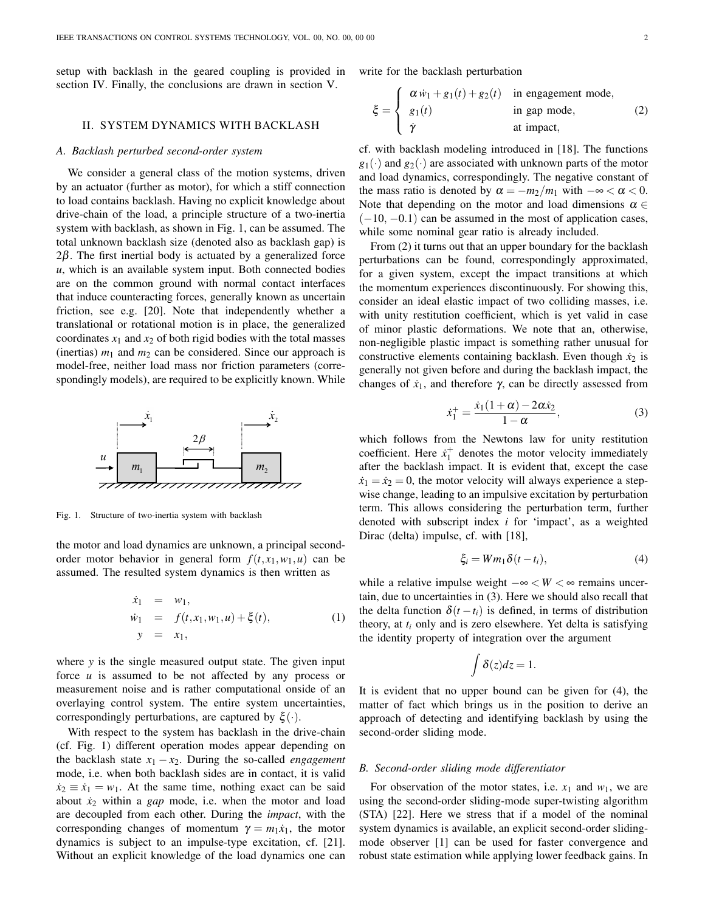setup with backlash in the geared coupling is provided in section IV. Finally, the conclusions are drawn in section V.

#### II. SYSTEM DYNAMICS WITH BACKLASH

#### *A. Backlash perturbed second-order system*

We consider a general class of the motion systems, driven by an actuator (further as motor), for which a stiff connection to load contains backlash. Having no explicit knowledge about drive-chain of the load, a principle structure of a two-inertia system with backlash, as shown in Fig. 1, can be assumed. The total unknown backlash size (denoted also as backlash gap) is  $2\beta$ . The first inertial body is actuated by a generalized force *u*, which is an available system input. Both connected bodies are on the common ground with normal contact interfaces that induce counteracting forces, generally known as uncertain friction, see e.g. [20]. Note that independently whether a translational or rotational motion is in place, the generalized coordinates  $x_1$  and  $x_2$  of both rigid bodies with the total masses (inertias)  $m_1$  and  $m_2$  can be considered. Since our approach is model-free, neither load mass nor friction parameters (correspondingly models), are required to be explicitly known. While



Fig. 1. Structure of two-inertia system with backlash

the motor and load dynamics are unknown, a principal secondorder motor behavior in general form  $f(t, x_1, w_1, u)$  can be assumed. The resulted system dynamics is then written as

$$
\dot{x}_1 = w_1,\n\dot{w}_1 = f(t, x_1, w_1, u) + \xi(t),\ny = x_1,
$$
\n(1)

where *y* is the single measured output state. The given input force *u* is assumed to be not affected by any process or measurement noise and is rather computational onside of an overlaying control system. The entire system uncertainties, correspondingly perturbations, are captured by ξ (*·*).

With respect to the system has backlash in the drive-chain (cf. Fig. 1) different operation modes appear depending on the backlash state  $x_1 - x_2$ . During the so-called *engagement* mode, i.e. when both backlash sides are in contact, it is valid  $\dot{x}_2 \equiv \dot{x}_1 = w_1$ . At the same time, nothing exact can be said about  $\dot{x}_2$  within a *gap* mode, i.e. when the motor and load are decoupled from each other. During the *impact*, with the corresponding changes of momentum  $\gamma = m_1 \dot{x}_1$ , the motor dynamics is subject to an impulse-type excitation, cf. [21]. Without an explicit knowledge of the load dynamics one can write for the backlash perturbation

$$
\xi = \begin{cases}\n\alpha \dot{w}_1 + g_1(t) + g_2(t) & \text{in engagement mode,} \\
g_1(t) & \text{in gap mode,} \\
\dot{\gamma} & \text{at impact,}\n\end{cases}
$$
\n(2)

cf. with backlash modeling introduced in [18]. The functions  $g_1(\cdot)$  and  $g_2(\cdot)$  are associated with unknown parts of the motor and load dynamics, correspondingly. The negative constant of the mass ratio is denoted by  $\alpha = -m_2/m_1$  with  $-\infty < \alpha < 0$ . Note that depending on the motor and load dimensions  $\alpha \in$ (*−*10*, −*0*.*1) can be assumed in the most of application cases, while some nominal gear ratio is already included.

From (2) it turns out that an upper boundary for the backlash perturbations can be found, correspondingly approximated, for a given system, except the impact transitions at which the momentum experiences discontinuously. For showing this, consider an ideal elastic impact of two colliding masses, i.e. with unity restitution coefficient, which is yet valid in case of minor plastic deformations. We note that an, otherwise, non-negligible plastic impact is something rather unusual for constructive elements containing backlash. Even though  $\dot{x}_2$  is generally not given before and during the backlash impact, the changes of  $\dot{x}_1$ , and therefore  $\gamma$ , can be directly assessed from

$$
\dot{x}_1^+ = \frac{\dot{x}_1(1+\alpha) - 2\alpha \dot{x}_2}{1-\alpha},\tag{3}
$$

which follows from the Newtons law for unity restitution coefficient. Here  $\dot{x}_1^+$  denotes the motor velocity immediately after the backlash impact. It is evident that, except the case  $\dot{x}_1 = \dot{x}_2 = 0$ , the motor velocity will always experience a stepwise change, leading to an impulsive excitation by perturbation term. This allows considering the perturbation term, further denoted with subscript index *i* for 'impact', as a weighted Dirac (delta) impulse, cf. with [18],

$$
\xi_i = Wm_1 \delta(t - t_i), \tag{4}
$$

while a relative impulse weight *−*∞ *< W <* ∞ remains uncertain, due to uncertainties in (3). Here we should also recall that the delta function  $\delta(t - t_i)$  is defined, in terms of distribution theory, at *t<sup>i</sup>* only and is zero elsewhere. Yet delta is satisfying the identity property of integration over the argument

$$
\int \delta(z)dz=1.
$$

It is evident that no upper bound can be given for (4), the matter of fact which brings us in the position to derive an approach of detecting and identifying backlash by using the second-order sliding mode.

#### *B. Second-order sliding mode differentiator*

For observation of the motor states, i.e.  $x_1$  and  $w_1$ , we are using the second-order sliding-mode super-twisting algorithm (STA) [22]. Here we stress that if a model of the nominal system dynamics is available, an explicit second-order slidingmode observer [1] can be used for faster convergence and robust state estimation while applying lower feedback gains. In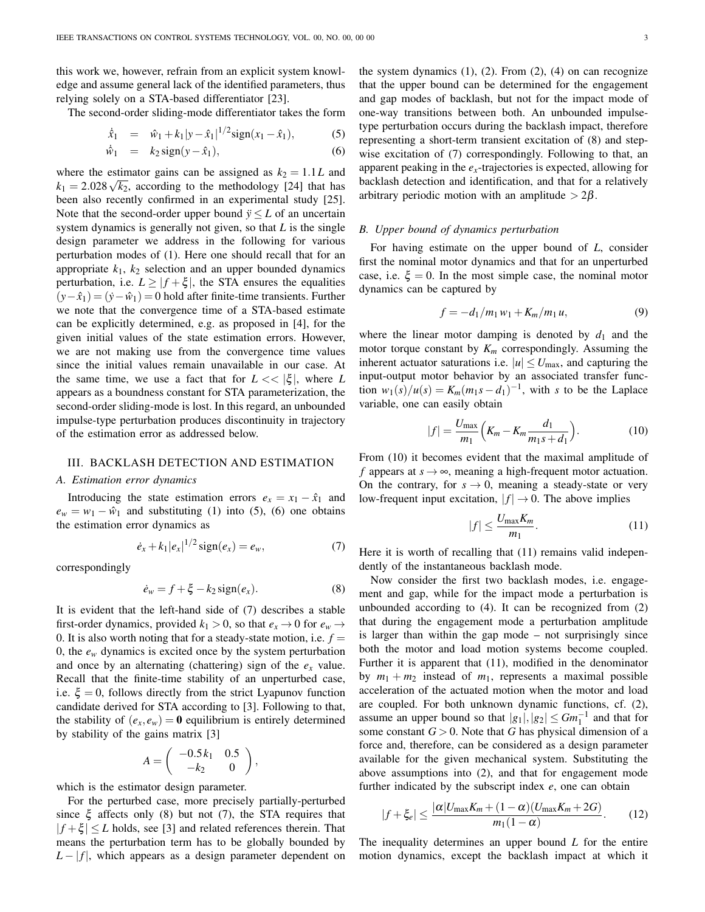this work we, however, refrain from an explicit system knowledge and assume general lack of the identified parameters, thus relying solely on a STA-based differentiator [23].

The second-order sliding-mode differentiator takes the form

$$
\dot{\hat{x}}_1 = \hat{w}_1 + k_1 |y - \hat{x}_1|^{1/2} \text{sign}(x_1 - \hat{x}_1), \quad (5)
$$

$$
\dot{\hat{w}}_1 = k_2 \operatorname{sign}(y - \hat{x}_1), \tag{6}
$$

where the estimator gains can be assigned as  $k_2 = 1.1L$  and  $k_1 = 2.028 \sqrt{k_2}$ , according to the methodology [24] that has been also recently confirmed in an experimental study [25]. Note that the second-order upper bound  $\ddot{y} \leq L$  of an uncertain system dynamics is generally not given, so that *L* is the single design parameter we address in the following for various perturbation modes of (1). Here one should recall that for an appropriate  $k_1$ ,  $k_2$  selection and an upper bounded dynamics perturbation, i.e.  $L \ge |f + \xi|$ , the STA ensures the equalities  $(y-\hat{x}_1) = (\hat{y}-\hat{w}_1) = 0$  hold after finite-time transients. Further we note that the convergence time of a STA-based estimate can be explicitly determined, e.g. as proposed in [4], for the given initial values of the state estimation errors. However, we are not making use from the convergence time values since the initial values remain unavailable in our case. At the same time, we use a fact that for  $L \ll |\xi|$ , where *L* appears as a boundness constant for STA parameterization, the second-order sliding-mode is lost. In this regard, an unbounded impulse-type perturbation produces discontinuity in trajectory of the estimation error as addressed below.

# III. BACKLASH DETECTION AND ESTIMATION

# *A. Estimation error dynamics*

Introducing the state estimation errors  $e_x = x_1 - \hat{x}_1$  and  $e_w = w_1 - \hat{w}_1$  and substituting (1) into (5), (6) one obtains the estimation error dynamics as

$$
\dot{e}_x + k_1 |e_x|^{1/2} \operatorname{sign}(e_x) = e_w, \tag{7}
$$

correspondingly

$$
\dot{e}_w = f + \xi - k_2 \operatorname{sign}(e_x). \tag{8}
$$

It is evident that the left-hand side of (7) describes a stable first-order dynamics, provided  $k_1 > 0$ , so that  $e_x \to 0$  for  $e_w \to$ 0. It is also worth noting that for a steady-state motion, i.e.  $f =$ 0, the  $e_w$  dynamics is excited once by the system perturbation and once by an alternating (chattering) sign of the  $e_x$  value. Recall that the finite-time stability of an unperturbed case, i.e.  $\xi = 0$ , follows directly from the strict Lyapunov function candidate derived for STA according to [3]. Following to that, the stability of  $(e_x, e_w) = 0$  equilibrium is entirely determined by stability of the gains matrix [3]

$$
A = \left( \begin{array}{cc} -0.5 k_1 & 0.5 \\ -k_2 & 0 \end{array} \right),
$$

which is the estimator design parameter.

For the perturbed case, more precisely partially-perturbed since  $\xi$  affects only (8) but not (7), the STA requires that  $|f + \xi| \leq L$  holds, see [3] and related references therein. That means the perturbation term has to be globally bounded by  $L - |f|$ , which appears as a design parameter dependent on the system dynamics  $(1)$ ,  $(2)$ . From  $(2)$ ,  $(4)$  on can recognize that the upper bound can be determined for the engagement and gap modes of backlash, but not for the impact mode of one-way transitions between both. An unbounded impulsetype perturbation occurs during the backlash impact, therefore representing a short-term transient excitation of (8) and stepwise excitation of (7) correspondingly. Following to that, an apparent peaking in the  $e_x$ -trajectories is expected, allowing for backlash detection and identification, and that for a relatively arbitrary periodic motion with an amplitude *>* 2β.

## *B. Upper bound of dynamics perturbation*

For having estimate on the upper bound of *L*, consider first the nominal motor dynamics and that for an unperturbed case, i.e.  $\xi = 0$ . In the most simple case, the nominal motor dynamics can be captured by

$$
f = -d_1/m_1 w_1 + K_m/m_1 u,
$$
 (9)

where the linear motor damping is denoted by  $d_1$  and the motor torque constant by *K<sup>m</sup>* correspondingly. Assuming the inherent actuator saturations i.e.  $|u| \le U_{\text{max}}$ , and capturing the input-output motor behavior by an associated transfer func $w_1(s)/u(s) = K_m(m_1s - d_1)^{-1}$ , with *s* to be the Laplace variable, one can easily obtain

$$
|f| = \frac{U_{\text{max}}}{m_1} \left( K_m - K_m \frac{d_1}{m_1 s + d_1} \right). \tag{10}
$$

From (10) it becomes evident that the maximal amplitude of *f* appears at  $s \rightarrow \infty$ , meaning a high-frequent motor actuation. On the contrary, for  $s \to 0$ , meaning a steady-state or very low-frequent input excitation,  $|f| \rightarrow 0$ . The above implies

$$
|f| \le \frac{U_{\max} K_m}{m_1}.\tag{11}
$$

Here it is worth of recalling that (11) remains valid independently of the instantaneous backlash mode.

Now consider the first two backlash modes, i.e. engagement and gap, while for the impact mode a perturbation is unbounded according to (4). It can be recognized from (2) that during the engagement mode a perturbation amplitude is larger than within the gap mode – not surprisingly since both the motor and load motion systems become coupled. Further it is apparent that (11), modified in the denominator by  $m_1 + m_2$  instead of  $m_1$ , represents a maximal possible acceleration of the actuated motion when the motor and load are coupled. For both unknown dynamic functions, cf. (2), assume an upper bound so that  $|g_1|, |g_2| \leq Gm_1^{-1}$  and that for some constant  $G > 0$ . Note that *G* has physical dimension of a force and, therefore, can be considered as a design parameter available for the given mechanical system. Substituting the above assumptions into (2), and that for engagement mode further indicated by the subscript index *e*, one can obtain

$$
|f+\xi_e| \leq \frac{|\alpha|U_{\max}K_m + (1-\alpha)(U_{\max}K_m + 2G)}{m_1(1-\alpha)}.
$$
 (12)

The inequality determines an upper bound *L* for the entire motion dynamics, except the backlash impact at which it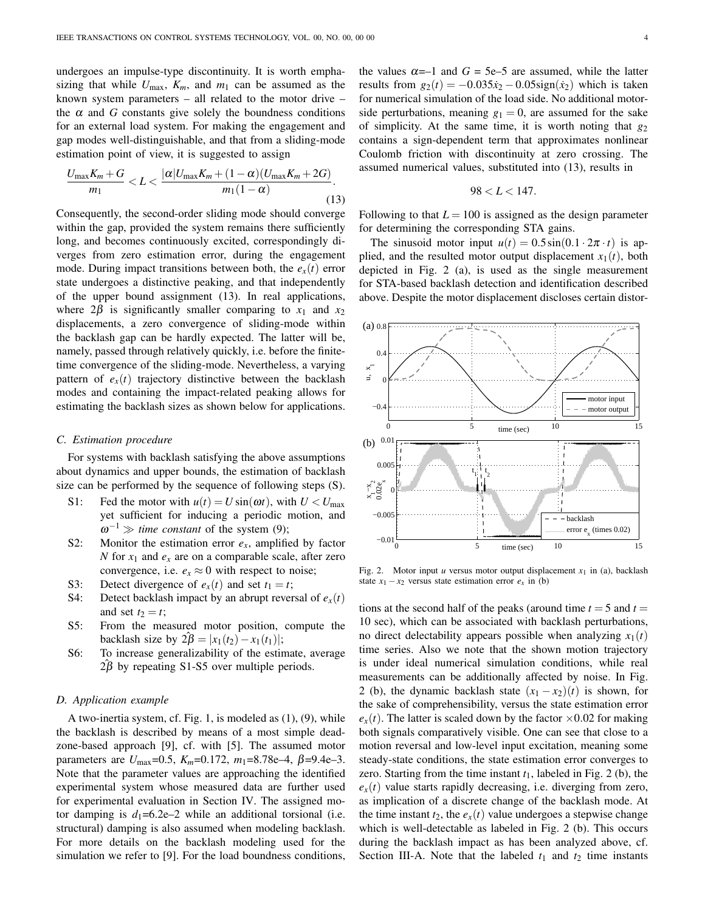undergoes an impulse-type discontinuity. It is worth emphasizing that while  $U_{\text{max}}$ ,  $K_m$ , and  $m_1$  can be assumed as the known system parameters – all related to the motor drive – the  $\alpha$  and  $G$  constants give solely the boundness conditions for an external load system. For making the engagement and gap modes well-distinguishable, and that from a sliding-mode estimation point of view, it is suggested to assign

$$
\frac{U_{\max}K_m + G}{m_1} < L < \frac{|\alpha|U_{\max}K_m + (1 - \alpha)(U_{\max}K_m + 2G)}{m_1(1 - \alpha)}.\tag{13}
$$

Consequently, the second-order sliding mode should converge within the gap, provided the system remains there sufficiently long, and becomes continuously excited, correspondingly diverges from zero estimation error, during the engagement mode. During impact transitions between both, the  $e_x(t)$  error state undergoes a distinctive peaking, and that independently of the upper bound assignment (13). In real applications, where  $2\beta$  is significantly smaller comparing to  $x_1$  and  $x_2$ displacements, a zero convergence of sliding-mode within the backlash gap can be hardly expected. The latter will be, namely, passed through relatively quickly, i.e. before the finitetime convergence of the sliding-mode. Nevertheless, a varying pattern of  $e_x(t)$  trajectory distinctive between the backlash modes and containing the impact-related peaking allows for estimating the backlash sizes as shown below for applications.

#### *C. Estimation procedure*

For systems with backlash satisfying the above assumptions about dynamics and upper bounds, the estimation of backlash size can be performed by the sequence of following steps (S).

- S1: Fed the motor with  $u(t) = U \sin(\omega t)$ , with  $U \lt U_{\text{max}}$ yet sufficient for inducing a periodic motion, and ω *<sup>−</sup>*<sup>1</sup> *<sup>≫</sup> time constant* of the system (9);
- S2: Monitor the estimation error  $e_x$ , amplified by factor *N* for  $x_1$  and  $e_x$  are on a comparable scale, after zero convergence, i.e.  $e_x \approx 0$  with respect to noise;
- S3: Detect divergence of  $e_x(t)$  and set  $t_1 = t$ ;
- S4: Detect backlash impact by an abrupt reversal of  $e_x(t)$ and set  $t_2 = t$ ;
- S5: From the measured motor position, compute the  $\text{backlash size by } 2\beta = |x_1(t_2) - x_1(t_1)|;$
- S6: To increase generalizability of the estimate, average  $2\beta$  by repeating S1-S5 over multiple periods.

## *D. Application example*

A two-inertia system, cf. Fig. 1, is modeled as (1), (9), while the backlash is described by means of a most simple deadzone-based approach [9], cf. with [5]. The assumed motor parameters are  $U_{\text{max}}$ =0.5,  $K_m$ =0.172,  $m_1$ =8.78e–4,  $\beta$ =9.4e–3. Note that the parameter values are approaching the identified experimental system whose measured data are further used for experimental evaluation in Section IV. The assigned motor damping is  $d_1=6.2e-2$  while an additional torsional (i.e. structural) damping is also assumed when modeling backlash. For more details on the backlash modeling used for the simulation we refer to [9]. For the load boundness conditions, the values  $\alpha = -1$  and  $G = 5e-5$  are assumed, while the latter results from  $g_2(t) = -0.035\dot{x}_2 - 0.05\dot{a}$ gn( $\dot{x}_2$ ) which is taken for numerical simulation of the load side. No additional motorside perturbations, meaning  $g_1 = 0$ , are assumed for the sake of simplicity. At the same time, it is worth noting that *g*<sup>2</sup> contains a sign-dependent term that approximates nonlinear Coulomb friction with discontinuity at zero crossing. The assumed numerical values, substituted into (13), results in

$$
98 < L < 147.
$$

Following to that  $L = 100$  is assigned as the design parameter for determining the corresponding STA gains.

The sinusoid motor input  $u(t) = 0.5 \sin(0.1 \cdot 2\pi \cdot t)$  is applied, and the resulted motor output displacement  $x_1(t)$ , both depicted in Fig. 2 (a), is used as the single measurement for STA-based backlash detection and identification described above. Despite the motor displacement discloses certain distor-



Fig. 2. Motor input *u* versus motor output displacement  $x_1$  in (a), backlash state  $x_1 - x_2$  versus state estimation error  $e_x$  in (b)

tions at the second half of the peaks (around time  $t = 5$  and  $t =$ 10 sec), which can be associated with backlash perturbations, no direct delectability appears possible when analyzing  $x_1(t)$ time series. Also we note that the shown motion trajectory is under ideal numerical simulation conditions, while real measurements can be additionally affected by noise. In Fig. 2 (b), the dynamic backlash state  $(x_1 - x_2)(t)$  is shown, for the sake of comprehensibility, versus the state estimation error  $e_x(t)$ . The latter is scaled down by the factor  $\times$ 0.02 for making both signals comparatively visible. One can see that close to a motion reversal and low-level input excitation, meaning some steady-state conditions, the state estimation error converges to zero. Starting from the time instant  $t_1$ , labeled in Fig. 2 (b), the  $e_x(t)$  value starts rapidly decreasing, i.e. diverging from zero, as implication of a discrete change of the backlash mode. At the time instant  $t_2$ , the  $e_x(t)$  value undergoes a stepwise change which is well-detectable as labeled in Fig. 2 (b). This occurs during the backlash impact as has been analyzed above, cf. Section III-A. Note that the labeled  $t_1$  and  $t_2$  time instants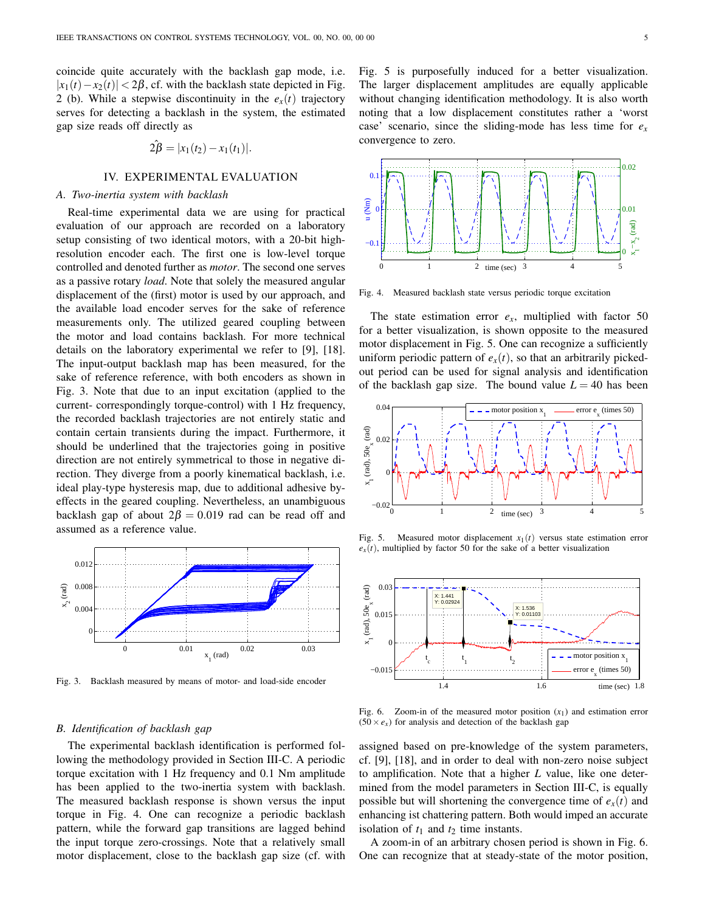coincide quite accurately with the backlash gap mode, i.e.  $|x_1(t) - x_2(t)| < 2\beta$ , cf. with the backlash state depicted in Fig. 2 (b). While a stepwise discontinuity in the  $e_x(t)$  trajectory serves for detecting a backlash in the system, the estimated gap size reads off directly as

$$
2\hat{\beta} = |x_1(t_2) - x_1(t_1)|.
$$

# IV. EXPERIMENTAL EVALUATION

# *A. Two-inertia system with backlash*

Real-time experimental data we are using for practical evaluation of our approach are recorded on a laboratory setup consisting of two identical motors, with a 20-bit highresolution encoder each. The first one is low-level torque controlled and denoted further as *motor*. The second one serves as a passive rotary *load*. Note that solely the measured angular displacement of the (first) motor is used by our approach, and the available load encoder serves for the sake of reference measurements only. The utilized geared coupling between the motor and load contains backlash. For more technical details on the laboratory experimental we refer to [9], [18]. The input-output backlash map has been measured, for the sake of reference reference, with both encoders as shown in Fig. 3. Note that due to an input excitation (applied to the current- correspondingly torque-control) with 1 Hz frequency, the recorded backlash trajectories are not entirely static and contain certain transients during the impact. Furthermore, it should be underlined that the trajectories going in positive direction are not entirely symmetrical to those in negative direction. They diverge from a poorly kinematical backlash, i.e. ideal play-type hysteresis map, due to additional adhesive byeffects in the geared coupling. Nevertheless, an unambiguous backlash gap of about  $2\beta = 0.019$  rad can be read off and assumed as a reference value.



Fig. 3. Backlash measured by means of motor- and load-side encoder

#### *B. Identification of backlash gap*

The experimental backlash identification is performed following the methodology provided in Section III-C. A periodic torque excitation with 1 Hz frequency and 0.1 Nm amplitude has been applied to the two-inertia system with backlash. The measured backlash response is shown versus the input torque in Fig. 4. One can recognize a periodic backlash pattern, while the forward gap transitions are lagged behind the input torque zero-crossings. Note that a relatively small motor displacement, close to the backlash gap size (cf. with

Fig. 5 is purposefully induced for a better visualization. The larger displacement amplitudes are equally applicable without changing identification methodology. It is also worth noting that a low displacement constitutes rather a 'worst case' scenario, since the sliding-mode has less time for *e<sup>x</sup>* convergence to zero.



Fig. 4. Measured backlash state versus periodic torque excitation

The state estimation error  $e_x$ , multiplied with factor 50 for a better visualization, is shown opposite to the measured motor displacement in Fig. 5. One can recognize a sufficiently uniform periodic pattern of  $e_x(t)$ , so that an arbitrarily pickedout period can be used for signal analysis and identification of the backlash gap size. The bound value  $L = 40$  has been



Fig. 5. Measured motor displacement  $x_1(t)$  versus state estimation error  $e<sub>x</sub>(t)$ , multiplied by factor 50 for the sake of a better visualization



Fig. 6. Zoom-in of the measured motor position (*x*1) and estimation error  $(50 \times e_x)$  for analysis and detection of the backlash gap

assigned based on pre-knowledge of the system parameters, cf. [9], [18], and in order to deal with non-zero noise subject to amplification. Note that a higher *L* value, like one determined from the model parameters in Section III-C, is equally possible but will shortening the convergence time of  $e<sub>x</sub>(t)$  and enhancing ist chattering pattern. Both would imped an accurate isolation of  $t_1$  and  $t_2$  time instants.

A zoom-in of an arbitrary chosen period is shown in Fig. 6. One can recognize that at steady-state of the motor position,